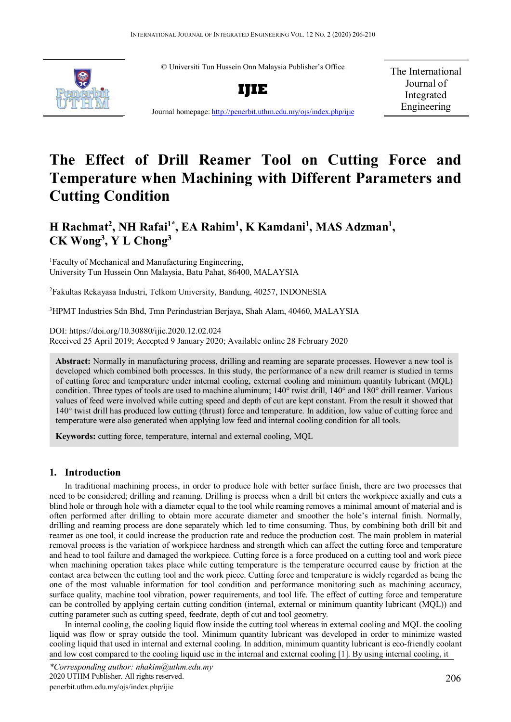© Universiti Tun Hussein Onn Malaysia Publisher's Office



**IJIE**

The International Journal of Integrated Engineering

Journal homepage: <http://penerbit.uthm.edu.my/ojs/index.php/ijie>

# **The Effect of Drill Reamer Tool on Cutting Force and Temperature when Machining with Different Parameters and Cutting Condition**

# H Rachmat<sup>2</sup>, NH Rafai<sup>1\*</sup>, EA Rahim<sup>1</sup>, K Kamdani<sup>1</sup>, MAS Adzman<sup>1</sup>, **CK Wong3 , Y L Chong3**

<sup>1</sup>Faculty of Mechanical and Manufacturing Engineering, University Tun Hussein Onn Malaysia, Batu Pahat, 86400, MALAYSIA

2 Fakultas Rekayasa Industri, Telkom University, Bandung, 40257, INDONESIA

3 HPMT Industries Sdn Bhd, Tmn Perindustrian Berjaya, Shah Alam, 40460, MALAYSIA

DOI: https://doi.org/10.30880/ijie.2020.12.02.024 Received 25 April 2019; Accepted 9 January 2020; Available online 28 February 2020

**Abstract:** Normally in manufacturing process, drilling and reaming are separate processes. However a new tool is developed which combined both processes. In this study, the performance of a new drill reamer is studied in terms of cutting force and temperature under internal cooling, external cooling and minimum quantity lubricant (MQL) condition. Three types of tools are used to machine aluminum; 140° twist drill, 140° and 180° drill reamer. Various values of feed were involved while cutting speed and depth of cut are kept constant. From the result it showed that 140° twist drill has produced low cutting (thrust) force and temperature. In addition, low value of cutting force and temperature were also generated when applying low feed and internal cooling condition for all tools.

**Keywords:** cutting force, temperature, internal and external cooling, MQL

# **1. Introduction**

In traditional machining process, in order to produce hole with better surface finish, there are two processes that need to be considered; drilling and reaming. Drilling is process when a drill bit enters the workpiece axially and cuts a blind hole or through hole with a diameter equal to the tool while reaming removes a minimal amount of material and is often performed after drilling to obtain more accurate diameter and smoother the hole's internal finish. Normally, drilling and reaming process are done separately which led to time consuming. Thus, by combining both drill bit and reamer as one tool, it could increase the production rate and reduce the production cost. The main problem in material removal process is the variation of workpiece hardness and strength which can affect the cutting force and temperature and head to tool failure and damaged the workpiece. Cutting force is a force produced on a cutting tool and work piece when machining operation takes place while cutting temperature is the temperature occurred cause by friction at the contact area between the cutting tool and the work piece. Cutting force and temperature is widely regarded as being the one of the most valuable information for tool condition and performance monitoring such as machining accuracy, surface quality, machine tool vibration, power requirements, and tool life. The effect of cutting force and temperature can be controlled by applying certain cutting condition (internal, external or minimum quantity lubricant (MQL)) and cutting parameter such as cutting speed, feedrate, depth of cut and tool geometry.

In internal cooling, the cooling liquid flow inside the cutting tool whereas in external cooling and MQL the cooling liquid was flow or spray outside the tool. Minimum quantity lubricant was developed in order to minimize wasted cooling liquid that used in internal and external cooling. In addition, minimum quantity lubricant is eco-friendly coolant and low cost compared to the cooling liquid use in the internal and external cooling [1]. By using internal cooling, it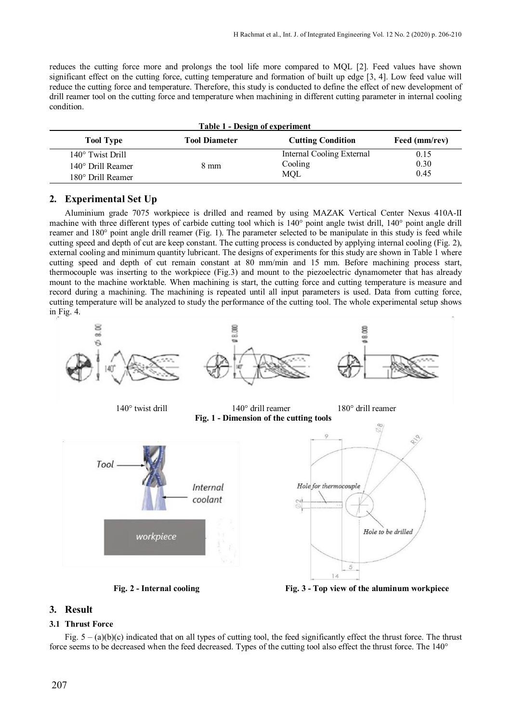reduces the cutting force more and prolongs the tool life more compared to MQL [2]. Feed values have shown significant effect on the cutting force, cutting temperature and formation of built up edge [3, 4]. Low feed value will reduce the cutting force and temperature. Therefore, this study is conducted to define the effect of new development of drill reamer tool on the cutting force and temperature when machining in different cutting parameter in internal cooling condition.

| <b>Table 1 - Design of experiment</b>                                             |                      |                                             |                      |
|-----------------------------------------------------------------------------------|----------------------|---------------------------------------------|----------------------|
| <b>Tool Type</b>                                                                  | <b>Tool Diameter</b> | <b>Cutting Condition</b>                    | Feed (mm/rev)        |
| $140^\circ$ Twist Drill<br>$140^{\circ}$ Drill Reamer<br>$180^\circ$ Drill Reamer | 8 mm                 | Internal Cooling External<br>Cooling<br>MOL | 0.15<br>0.30<br>0.45 |

# **2. Experimental Set Up**

Aluminium grade 7075 workpiece is drilled and reamed by using MAZAK Vertical Center Nexus 410A-II machine with three different types of carbide cutting tool which is 140° point angle twist drill, 140° point angle drill reamer and 180° point angle drill reamer (Fig. 1). The parameter selected to be manipulate in this study is feed while cutting speed and depth of cut are keep constant. The cutting process is conducted by applying internal cooling (Fig. 2), external cooling and minimum quantity lubricant. The designs of experiments for this study are shown in Table 1 where cutting speed and depth of cut remain constant at 80 mm/min and 15 mm. Before machining process start, thermocouple was inserting to the workpiece (Fig.3) and mount to the piezoelectric dynamometer that has already mount to the machine worktable. When machining is start, the cutting force and cutting temperature is measure and record during a machining. The machining is repeated until all input parameters is used. Data from cutting force, cutting temperature will be analyzed to study the performance of the cutting tool. The whole experimental setup shows in Fig. 4.



**Fig. 2 - Internal cooling Fig. 3 - Top view of the aluminum workpiece**

# **3. Result**

# **3.1 Thrust Force**

Fig.  $5 - (a)(b)(c)$  indicated that on all types of cutting tool, the feed significantly effect the thrust force. The thrust force seems to be decreased when the feed decreased. Types of the cutting tool also effect the thrust force. The 140°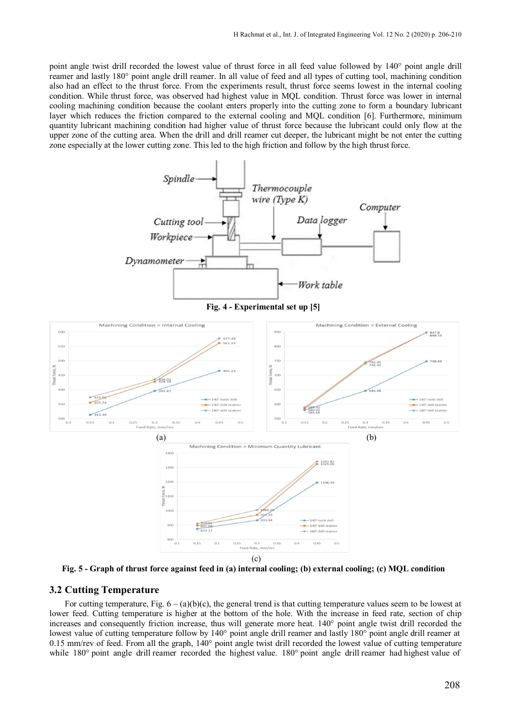point angle twist drill recorded the lowest value of thrust force in all feed value followed by 140° point angle drill reamer and lastly 180° point angle drill reamer. In all value of feed and all types of cutting tool, machining condition also had an effect to the thrust force. From the experiments result, thrust force seems lowest in the internal cooling condition. While thrust force, was observed had highest value in MQL condition. Thrust force was lower in internal cooling machining condition because the coolant enters properly into the cutting zone to form a boundary lubricant layer which reduces the friction compared to the external cooling and MQL condition [6]. Furthermore, minimum quantity lubricant machining condition had higher value of thrust force because the lubricant could only flow at the upper zone of the cutting area. When the drill and drill reamer cut deeper, the lubricant might be not enter the cutting zone especially at the lower cutting zone. This led to the high friction and follow by the high thrust force.



**Fig. 5 - Graph of thrust force against feed in (a) internal cooling; (b) external cooling; (c) MQL condition**

#### **3.2 Cutting Temperature**

For cutting temperature, Fig.  $6 - (a)(b)(c)$ , the general trend is that cutting temperature values seem to be lowest at lower feed. Cutting temperature is higher at the bottom of the hole. With the increase in feed rate, section of chip increases and consequently friction increase, thus will generate more heat. 140° point angle twist drill recorded the lowest value of cutting temperature follow by 140° point angle drill reamer and lastly 180° point angle drill reamer at 0.15 mm/rev of feed. From all the graph, 140° point angle twist drill recorded the lowest value of cutting temperature while 180° point angle drill reamer recorded the highest value. 180° point angle drill reamer had highest value of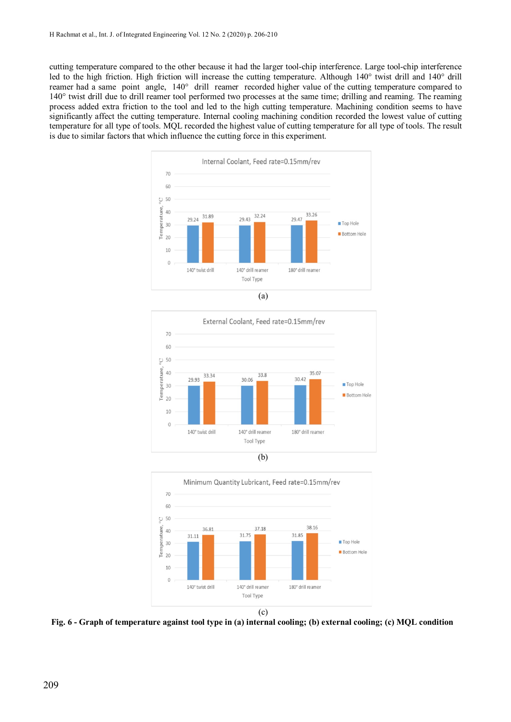cutting temperature compared to the other because it had the larger tool-chip interference. Large tool-chip interference led to the high friction. High friction will increase the cutting temperature. Although 140° twist drill and 140° drill reamer had a same point angle, 140° drill reamer recorded higher value of the cutting temperature compared to 140° twist drill due to drill reamer tool performed two processes at the same time; drilling and reaming. The reaming process added extra friction to the tool and led to the high cutting temperature. Machining condition seems to have significantly affect the cutting temperature. Internal cooling machining condition recorded the lowest value of cutting temperature for all type of tools. MQL recorded the highest value of cutting temperature for all type of tools. The result is due to similar factors that which influence the cutting force in this experiment.







**Fig. 6 - Graph of temperature against tool type in (a) internal cooling; (b) external cooling; (c) MQL condition**